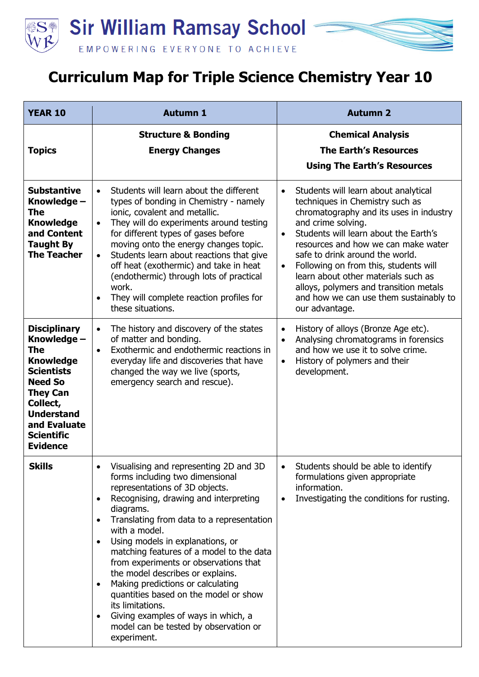

## **Curriculum Map for Triple Science Chemistry Year 10**

| <b>YEAR 10</b>                                                                                                                                                                                                   | <b>Autumn 1</b>                                                                                                                                                                                                                                                                                                                                                                                                                                                                                                                                                                                            | <b>Autumn 2</b>                                                                                                                                                                                                                                                                                                                                                                                                                                                                          |
|------------------------------------------------------------------------------------------------------------------------------------------------------------------------------------------------------------------|------------------------------------------------------------------------------------------------------------------------------------------------------------------------------------------------------------------------------------------------------------------------------------------------------------------------------------------------------------------------------------------------------------------------------------------------------------------------------------------------------------------------------------------------------------------------------------------------------------|------------------------------------------------------------------------------------------------------------------------------------------------------------------------------------------------------------------------------------------------------------------------------------------------------------------------------------------------------------------------------------------------------------------------------------------------------------------------------------------|
| <b>Topics</b>                                                                                                                                                                                                    | <b>Structure &amp; Bonding</b><br><b>Energy Changes</b>                                                                                                                                                                                                                                                                                                                                                                                                                                                                                                                                                    | <b>Chemical Analysis</b><br><b>The Earth's Resources</b><br><b>Using The Earth's Resources</b>                                                                                                                                                                                                                                                                                                                                                                                           |
| <b>Substantive</b><br>Knowledge –<br>The<br><b>Knowledge</b><br>and Content<br><b>Taught By</b><br><b>The Teacher</b>                                                                                            | Students will learn about the different<br>$\bullet$<br>types of bonding in Chemistry - namely<br>ionic, covalent and metallic.<br>They will do experiments around testing<br>$\bullet$<br>for different types of gases before<br>moving onto the energy changes topic.<br>Students learn about reactions that give<br>$\bullet$<br>off heat (exothermic) and take in heat<br>(endothermic) through lots of practical<br>work.<br>They will complete reaction profiles for<br>these situations.                                                                                                            | Students will learn about analytical<br>$\bullet$<br>techniques in Chemistry such as<br>chromatography and its uses in industry<br>and crime solving.<br>Students will learn about the Earth's<br>$\bullet$<br>resources and how we can make water<br>safe to drink around the world.<br>Following on from this, students will<br>$\bullet$<br>learn about other materials such as<br>alloys, polymers and transition metals<br>and how we can use them sustainably to<br>our advantage. |
| <b>Disciplinary</b><br>Knowledge -<br>The<br><b>Knowledge</b><br><b>Scientists</b><br><b>Need So</b><br><b>They Can</b><br>Collect,<br><b>Understand</b><br>and Evaluate<br><b>Scientific</b><br><b>Evidence</b> | The history and discovery of the states<br>$\bullet$<br>of matter and bonding.<br>Exothermic and endothermic reactions in<br>$\bullet$<br>everyday life and discoveries that have<br>changed the way we live (sports,<br>emergency search and rescue).                                                                                                                                                                                                                                                                                                                                                     | History of alloys (Bronze Age etc).<br>$\bullet$<br>Analysing chromatograms in forensics<br>$\bullet$<br>and how we use it to solve crime.<br>History of polymers and their<br>$\bullet$<br>development.                                                                                                                                                                                                                                                                                 |
| <b>Skills</b>                                                                                                                                                                                                    | Visualising and representing 2D and 3D<br>forms including two dimensional<br>representations of 3D objects.<br>Recognising, drawing and interpreting<br>diagrams.<br>Translating from data to a representation<br>with a model.<br>Using models in explanations, or<br>matching features of a model to the data<br>from experiments or observations that<br>the model describes or explains.<br>Making predictions or calculating<br>$\bullet$<br>quantities based on the model or show<br>its limitations.<br>Giving examples of ways in which, a<br>model can be tested by observation or<br>experiment. | Students should be able to identify<br>formulations given appropriate<br>information.<br>Investigating the conditions for rusting.<br>$\bullet$                                                                                                                                                                                                                                                                                                                                          |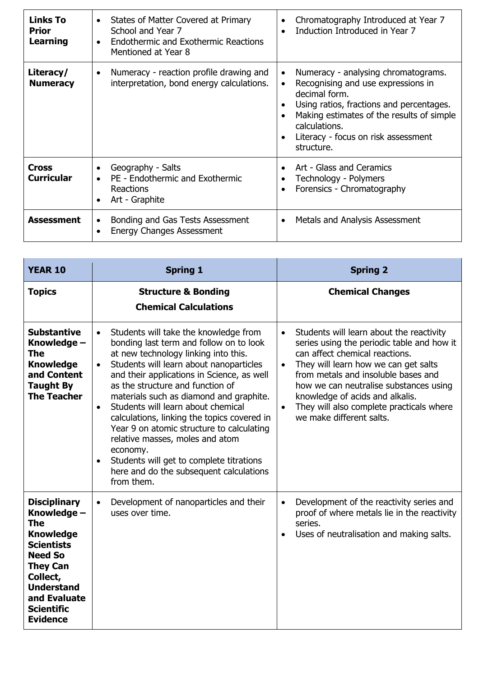| <b>Links To</b><br><b>Prior</b><br><b>Learning</b> | States of Matter Covered at Primary<br>School and Year 7<br><b>Endothermic and Exothermic Reactions</b><br>Mentioned at Year 8 | Chromatography Introduced at Year 7<br>Induction Introduced in Year 7                                                                                                                                                                                                               |
|----------------------------------------------------|--------------------------------------------------------------------------------------------------------------------------------|-------------------------------------------------------------------------------------------------------------------------------------------------------------------------------------------------------------------------------------------------------------------------------------|
| Literacy/<br><b>Numeracy</b>                       | Numeracy - reaction profile drawing and<br>$\bullet$<br>interpretation, bond energy calculations.                              | Numeracy - analysing chromatograms.<br>$\bullet$<br>Recognising and use expressions in<br>$\bullet$<br>decimal form.<br>Using ratios, fractions and percentages.<br>Making estimates of the results of simple<br>calculations.<br>Literacy - focus on risk assessment<br>structure. |
| Cross<br><b>Curricular</b>                         | Geography - Salts<br>PE - Endothermic and Exothermic<br>Reactions<br>Art - Graphite                                            | Art - Glass and Ceramics<br>Technology - Polymers<br>Forensics - Chromatography                                                                                                                                                                                                     |
| Assessment                                         | Bonding and Gas Tests Assessment<br><b>Energy Changes Assessment</b>                                                           | Metals and Analysis Assessment<br>$\bullet$                                                                                                                                                                                                                                         |

| <b>YEAR 10</b>                                                                                                                                                                                                   | <b>Spring 1</b>                                                                                                                                                                                                                                                                                                                                                                                                                                                                                                                                                                                                                            | <b>Spring 2</b>                                                                                                                                                                                                                                                                                                                                                                                     |
|------------------------------------------------------------------------------------------------------------------------------------------------------------------------------------------------------------------|--------------------------------------------------------------------------------------------------------------------------------------------------------------------------------------------------------------------------------------------------------------------------------------------------------------------------------------------------------------------------------------------------------------------------------------------------------------------------------------------------------------------------------------------------------------------------------------------------------------------------------------------|-----------------------------------------------------------------------------------------------------------------------------------------------------------------------------------------------------------------------------------------------------------------------------------------------------------------------------------------------------------------------------------------------------|
| <b>Topics</b>                                                                                                                                                                                                    | <b>Structure &amp; Bonding</b><br><b>Chemical Calculations</b>                                                                                                                                                                                                                                                                                                                                                                                                                                                                                                                                                                             | <b>Chemical Changes</b>                                                                                                                                                                                                                                                                                                                                                                             |
| <b>Substantive</b><br>Knowledge -<br>The<br><b>Knowledge</b><br>and Content<br><b>Taught By</b><br><b>The Teacher</b>                                                                                            | Students will take the knowledge from<br>$\bullet$<br>bonding last term and follow on to look<br>at new technology linking into this.<br>Students will learn about nanoparticles<br>$\bullet$<br>and their applications in Science, as well<br>as the structure and function of<br>materials such as diamond and graphite.<br>Students will learn about chemical<br>$\bullet$<br>calculations, linking the topics covered in<br>Year 9 on atomic structure to calculating<br>relative masses, moles and atom<br>economy.<br>Students will get to complete titrations<br>$\bullet$<br>here and do the subsequent calculations<br>from them. | Students will learn about the reactivity<br>$\bullet$<br>series using the periodic table and how it<br>can affect chemical reactions.<br>They will learn how we can get salts<br>$\bullet$<br>from metals and insoluble bases and<br>how we can neutralise substances using<br>knowledge of acids and alkalis.<br>They will also complete practicals where<br>$\bullet$<br>we make different salts. |
| <b>Disciplinary</b><br>Knowledge -<br>The<br><b>Knowledge</b><br><b>Scientists</b><br><b>Need So</b><br><b>They Can</b><br>Collect,<br><b>Understand</b><br>and Evaluate<br><b>Scientific</b><br><b>Evidence</b> | Development of nanoparticles and their<br>$\bullet$<br>uses over time.                                                                                                                                                                                                                                                                                                                                                                                                                                                                                                                                                                     | Development of the reactivity series and<br>$\bullet$<br>proof of where metals lie in the reactivity<br>series.<br>Uses of neutralisation and making salts.<br>$\bullet$                                                                                                                                                                                                                            |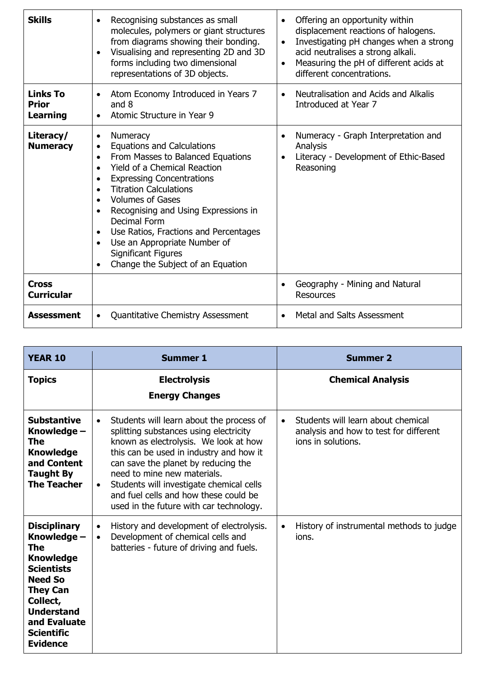| <b>Skills</b>                        | Recognising substances as small<br>$\bullet$<br>molecules, polymers or giant structures<br>from diagrams showing their bonding.<br>Visualising and representing 2D and 3D<br>forms including two dimensional<br>representations of 3D objects.                                                                                                                                                                                                               | Offering an opportunity within<br>$\bullet$<br>displacement reactions of halogens.<br>Investigating pH changes when a strong<br>$\bullet$<br>acid neutralises a strong alkali.<br>Measuring the pH of different acids at<br>$\bullet$<br>different concentrations. |
|--------------------------------------|--------------------------------------------------------------------------------------------------------------------------------------------------------------------------------------------------------------------------------------------------------------------------------------------------------------------------------------------------------------------------------------------------------------------------------------------------------------|--------------------------------------------------------------------------------------------------------------------------------------------------------------------------------------------------------------------------------------------------------------------|
| <b>Links To</b><br>Prior<br>Learning | Atom Economy Introduced in Years 7<br>$\bullet$<br>and 8<br>Atomic Structure in Year 9                                                                                                                                                                                                                                                                                                                                                                       | Neutralisation and Acids and Alkalis<br>Introduced at Year 7                                                                                                                                                                                                       |
| Literacy/<br><b>Numeracy</b>         | Numeracy<br>٠<br><b>Equations and Calculations</b><br>$\bullet$<br>From Masses to Balanced Equations<br>$\bullet$<br><b>Yield of a Chemical Reaction</b><br><b>Expressing Concentrations</b><br><b>Titration Calculations</b><br><b>Volumes of Gases</b><br>Recognising and Using Expressions in<br>Decimal Form<br>Use Ratios, Fractions and Percentages<br>Use an Appropriate Number of<br><b>Significant Figures</b><br>Change the Subject of an Equation | Numeracy - Graph Interpretation and<br>Analysis<br>Literacy - Development of Ethic-Based<br>Reasoning                                                                                                                                                              |
| <b>Cross</b><br><b>Curricular</b>    |                                                                                                                                                                                                                                                                                                                                                                                                                                                              | Geography - Mining and Natural<br><b>Resources</b>                                                                                                                                                                                                                 |
| <b>Assessment</b>                    | <b>Quantitative Chemistry Assessment</b><br>$\bullet$                                                                                                                                                                                                                                                                                                                                                                                                        | Metal and Salts Assessment<br>$\bullet$                                                                                                                                                                                                                            |

| <b>YEAR 10</b>                                                                                                                                                                                                   | <b>Summer 1</b>                                                                                                                                                                                                                                                                                                                                                                           | <b>Summer 2</b>                                                                                                 |
|------------------------------------------------------------------------------------------------------------------------------------------------------------------------------------------------------------------|-------------------------------------------------------------------------------------------------------------------------------------------------------------------------------------------------------------------------------------------------------------------------------------------------------------------------------------------------------------------------------------------|-----------------------------------------------------------------------------------------------------------------|
| <b>Topics</b>                                                                                                                                                                                                    | <b>Electrolysis</b><br><b>Energy Changes</b>                                                                                                                                                                                                                                                                                                                                              | <b>Chemical Analysis</b>                                                                                        |
| <b>Substantive</b><br>Knowledge -<br>The<br><b>Knowledge</b><br>and Content<br><b>Taught By</b><br><b>The Teacher</b>                                                                                            | Students will learn about the process of<br>$\bullet$<br>splitting substances using electricity<br>known as electrolysis. We look at how<br>this can be used in industry and how it<br>can save the planet by reducing the<br>need to mine new materials.<br>Students will investigate chemical cells<br>and fuel cells and how these could be<br>used in the future with car technology. | Students will learn about chemical<br>$\bullet$<br>analysis and how to test for different<br>ions in solutions. |
| <b>Disciplinary</b><br>Knowledge –<br>The<br><b>Knowledge</b><br><b>Scientists</b><br><b>Need So</b><br><b>They Can</b><br>Collect,<br><b>Understand</b><br>and Evaluate<br><b>Scientific</b><br><b>Evidence</b> | History and development of electrolysis.<br>$\bullet$<br>Development of chemical cells and<br>$\bullet$<br>batteries - future of driving and fuels.                                                                                                                                                                                                                                       | History of instrumental methods to judge<br>$\bullet$<br>ions.                                                  |